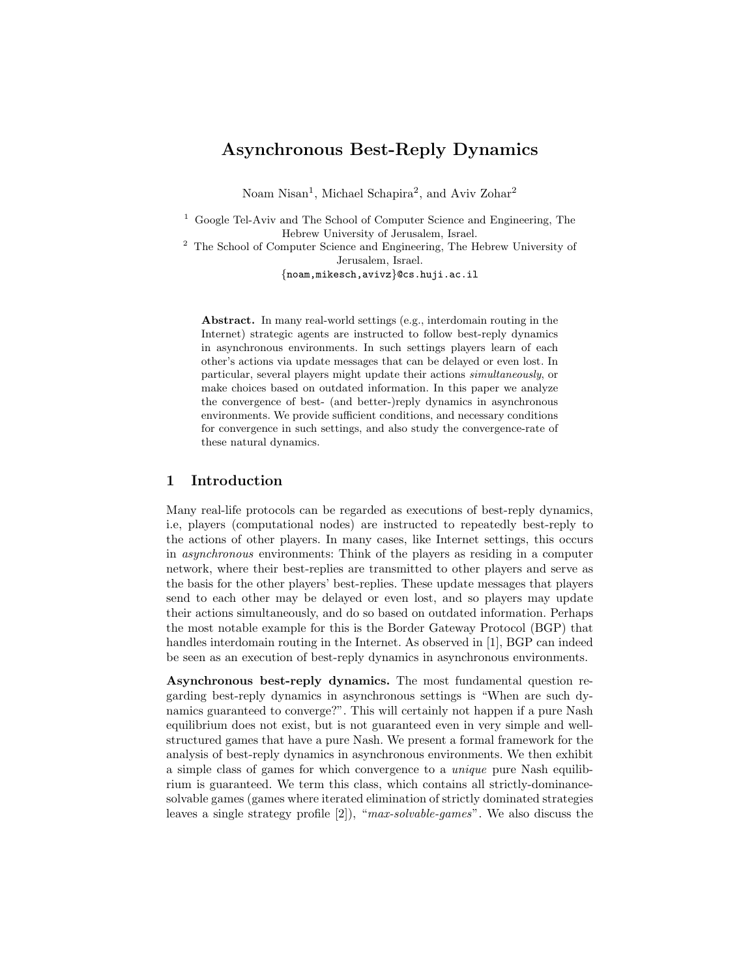# Asynchronous Best-Reply Dynamics

Noam Nisan<sup>1</sup>, Michael Schapira<sup>2</sup>, and Aviv Zohar<sup>2</sup>

<sup>1</sup> Google Tel-Aviv and The School of Computer Science and Engineering, The Hebrew University of Jerusalem, Israel.

<sup>2</sup> The School of Computer Science and Engineering, The Hebrew University of Jerusalem, Israel.

{noam,mikesch,avivz}@cs.huji.ac.il

Abstract. In many real-world settings (e.g., interdomain routing in the Internet) strategic agents are instructed to follow best-reply dynamics in asynchronous environments. In such settings players learn of each other's actions via update messages that can be delayed or even lost. In particular, several players might update their actions simultaneously, or make choices based on outdated information. In this paper we analyze the convergence of best- (and better-)reply dynamics in asynchronous environments. We provide sufficient conditions, and necessary conditions for convergence in such settings, and also study the convergence-rate of these natural dynamics.

# 1 Introduction

Many real-life protocols can be regarded as executions of best-reply dynamics, i.e, players (computational nodes) are instructed to repeatedly best-reply to the actions of other players. In many cases, like Internet settings, this occurs in asynchronous environments: Think of the players as residing in a computer network, where their best-replies are transmitted to other players and serve as the basis for the other players' best-replies. These update messages that players send to each other may be delayed or even lost, and so players may update their actions simultaneously, and do so based on outdated information. Perhaps the most notable example for this is the Border Gateway Protocol (BGP) that handles interdomain routing in the Internet. As observed in [1], BGP can indeed be seen as an execution of best-reply dynamics in asynchronous environments.

Asynchronous best-reply dynamics. The most fundamental question regarding best-reply dynamics in asynchronous settings is "When are such dynamics guaranteed to converge?". This will certainly not happen if a pure Nash equilibrium does not exist, but is not guaranteed even in very simple and wellstructured games that have a pure Nash. We present a formal framework for the analysis of best-reply dynamics in asynchronous environments. We then exhibit a simple class of games for which convergence to a unique pure Nash equilibrium is guaranteed. We term this class, which contains all strictly-dominancesolvable games (games where iterated elimination of strictly dominated strategies leaves a single strategy profile [2]), "max-solvable-games". We also discuss the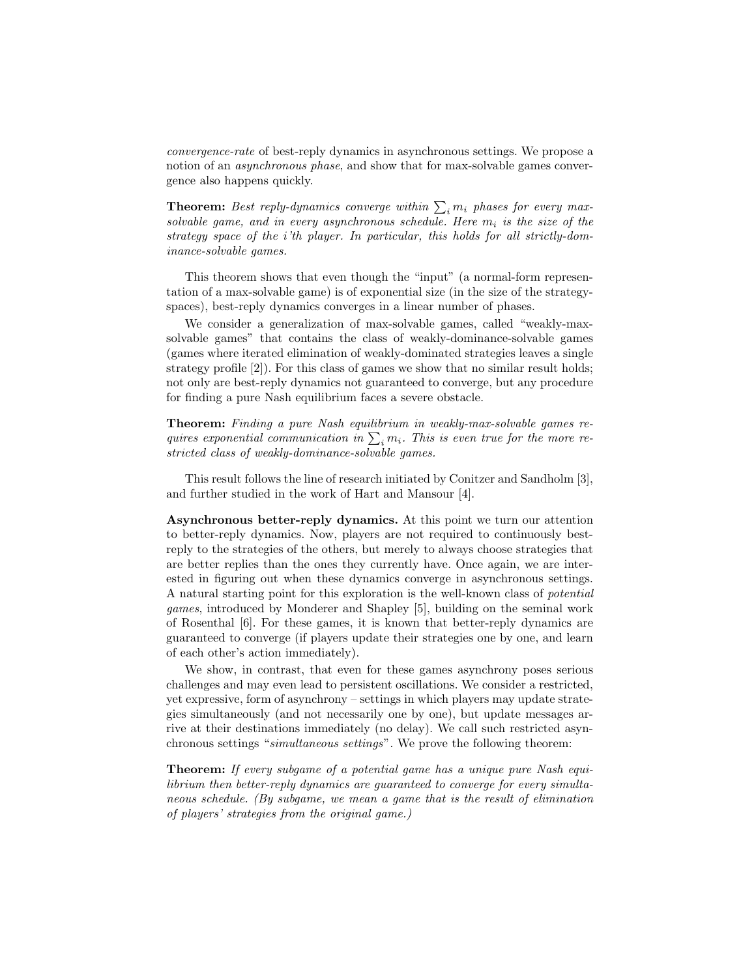convergence-rate of best-reply dynamics in asynchronous settings. We propose a notion of an *asynchronous phase*, and show that for max-solvable games convergence also happens quickly.

**Theorem:** Best reply-dynamics converge within  $\sum_i m_i$  phases for every maxsolvable game, and in every asynchronous schedule. Here  $m_i$  is the size of the strategy space of the i'th player. In particular, this holds for all strictly-dominance-solvable games.

This theorem shows that even though the "input" (a normal-form representation of a max-solvable game) is of exponential size (in the size of the strategyspaces), best-reply dynamics converges in a linear number of phases.

We consider a generalization of max-solvable games, called "weakly-maxsolvable games" that contains the class of weakly-dominance-solvable games (games where iterated elimination of weakly-dominated strategies leaves a single strategy profile [2]). For this class of games we show that no similar result holds; not only are best-reply dynamics not guaranteed to converge, but any procedure for finding a pure Nash equilibrium faces a severe obstacle.

Theorem: Finding a pure Nash equilibrium in weakly-max-solvable games re-**Theorem:** Finally a pure *Nash equilibrium* in weakly-max-solvable games re-<br>quires exponential communication in  $\sum_i m_i$ . This is even true for the more restricted class of weakly-dominance-solvable games.

This result follows the line of research initiated by Conitzer and Sandholm [3], and further studied in the work of Hart and Mansour [4].

Asynchronous better-reply dynamics. At this point we turn our attention to better-reply dynamics. Now, players are not required to continuously bestreply to the strategies of the others, but merely to always choose strategies that are better replies than the ones they currently have. Once again, we are interested in figuring out when these dynamics converge in asynchronous settings. A natural starting point for this exploration is the well-known class of potential games, introduced by Monderer and Shapley [5], building on the seminal work of Rosenthal [6]. For these games, it is known that better-reply dynamics are guaranteed to converge (if players update their strategies one by one, and learn of each other's action immediately).

We show, in contrast, that even for these games asynchrony poses serious challenges and may even lead to persistent oscillations. We consider a restricted, yet expressive, form of asynchrony – settings in which players may update strategies simultaneously (and not necessarily one by one), but update messages arrive at their destinations immediately (no delay). We call such restricted asynchronous settings "simultaneous settings". We prove the following theorem:

Theorem: If every subgame of a potential game has a unique pure Nash equilibrium then better-reply dynamics are guaranteed to converge for every simultaneous schedule. (By subgame, we mean a game that is the result of elimination of players' strategies from the original game.)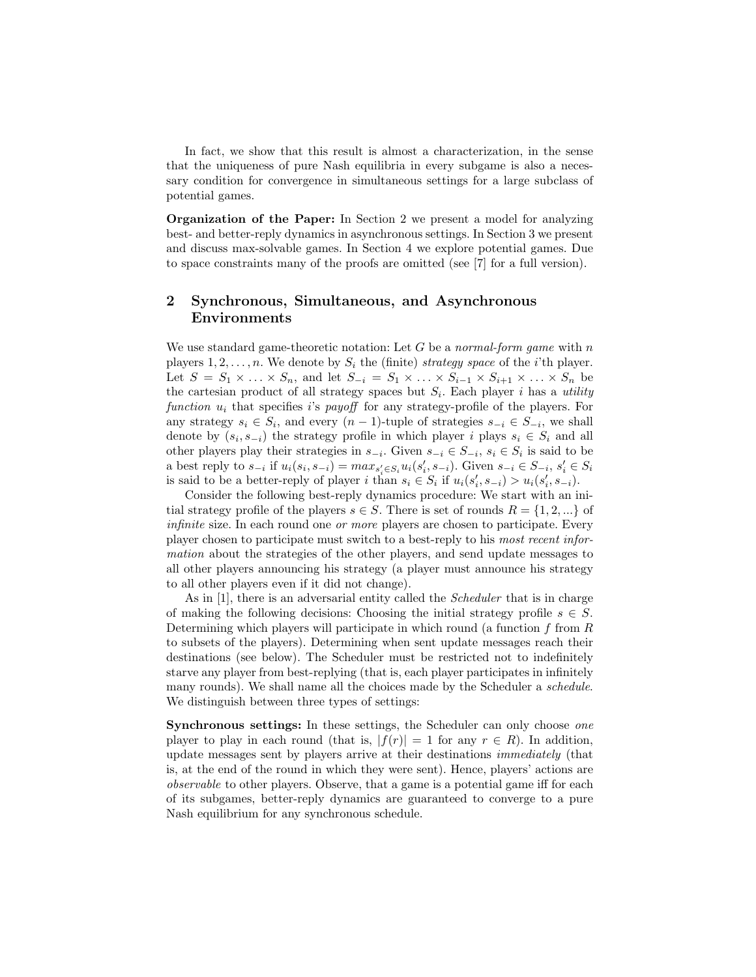In fact, we show that this result is almost a characterization, in the sense that the uniqueness of pure Nash equilibria in every subgame is also a necessary condition for convergence in simultaneous settings for a large subclass of potential games.

Organization of the Paper: In Section 2 we present a model for analyzing best- and better-reply dynamics in asynchronous settings. In Section 3 we present and discuss max-solvable games. In Section 4 we explore potential games. Due to space constraints many of the proofs are omitted (see [7] for a full version).

# 2 Synchronous, Simultaneous, and Asynchronous Environments

We use standard game-theoretic notation: Let G be a *normal-form game* with n players  $1, 2, \ldots, n$ . We denote by  $S_i$  the (finite) strategy space of the *i*'th player. Let  $S = S_1 \times \ldots \times S_n$ , and let  $S_{-i} = S_1 \times \ldots \times S_{i-1} \times S_{i+1} \times \ldots \times S_n$  be the cartesian product of all strategy spaces but  $S_i$ . Each player i has a utility function  $u_i$  that specifies is payoff for any strategy-profile of the players. For any strategy  $s_i \in S_i$ , and every  $(n-1)$ -tuple of strategies  $s_{-i} \in S_{-i}$ , we shall denote by  $(s_i, s_{-i})$  the strategy profile in which player i plays  $s_i \in S_i$  and all other players play their strategies in  $s_{-i}$ . Given  $s_{-i} \in S_{-i}$ ,  $s_i \in S_i$  is said to be a best reply to  $s_{-i}$  if  $u_i(s_i, s_{-i}) = max_{s_i' \in S_i} u_i(s_i', s_{-i})$ . Given  $s_{-i} \in S_{-i}, s_i' \in S_i$ is said to be a better-reply of player i than  $s_i \in S_i$  if  $u_i(s'_i, s_{-i}) > u_i(s'_i, s_{-i})$ .

Consider the following best-reply dynamics procedure: We start with an initial strategy profile of the players  $s \in S$ . There is set of rounds  $R = \{1, 2, ...\}$  of *infinite* size. In each round one *or more* players are chosen to participate. Every player chosen to participate must switch to a best-reply to his most recent information about the strategies of the other players, and send update messages to all other players announcing his strategy (a player must announce his strategy to all other players even if it did not change).

As in [1], there is an adversarial entity called the *Scheduler* that is in charge of making the following decisions: Choosing the initial strategy profile  $s \in S$ . Determining which players will participate in which round (a function  $f$  from  $R$ to subsets of the players). Determining when sent update messages reach their destinations (see below). The Scheduler must be restricted not to indefinitely starve any player from best-replying (that is, each player participates in infinitely many rounds). We shall name all the choices made by the Scheduler a *schedule*. We distinguish between three types of settings:

Synchronous settings: In these settings, the Scheduler can only choose *one* player to play in each round (that is,  $|f(r)| = 1$  for any  $r \in R$ ). In addition, update messages sent by players arrive at their destinations immediately (that is, at the end of the round in which they were sent). Hence, players' actions are observable to other players. Observe, that a game is a potential game iff for each of its subgames, better-reply dynamics are guaranteed to converge to a pure Nash equilibrium for any synchronous schedule.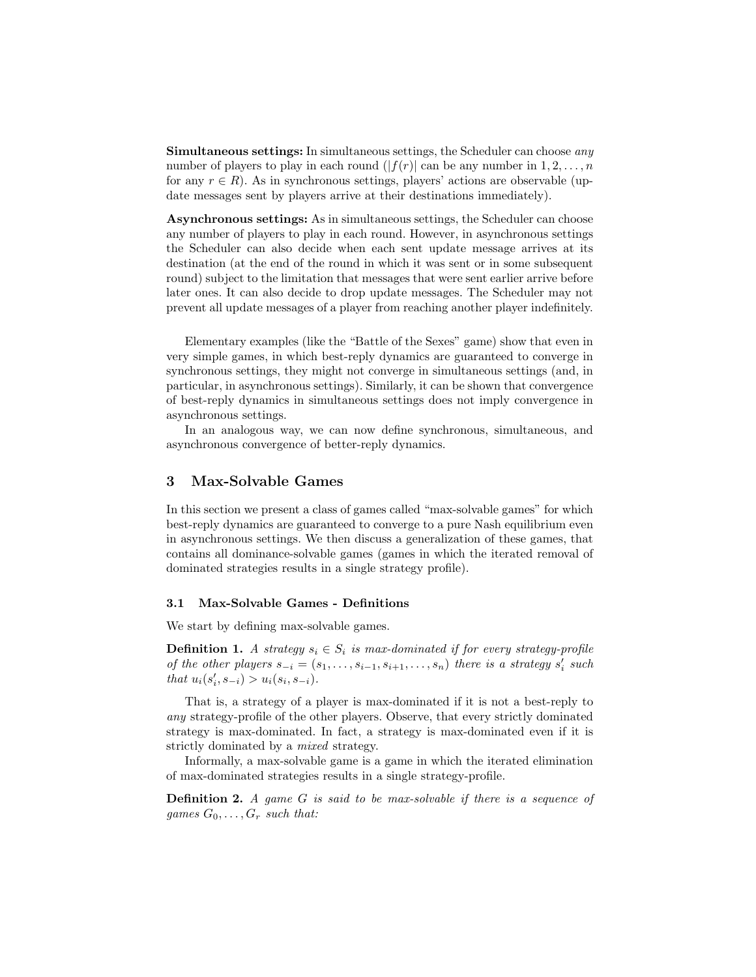Simultaneous settings: In simultaneous settings, the Scheduler can choose any number of players to play in each round  $(|f(r)|)$  can be any number in  $1, 2, \ldots, n$ for any  $r \in R$ ). As in synchronous settings, players' actions are observable (update messages sent by players arrive at their destinations immediately).

Asynchronous settings: As in simultaneous settings, the Scheduler can choose any number of players to play in each round. However, in asynchronous settings the Scheduler can also decide when each sent update message arrives at its destination (at the end of the round in which it was sent or in some subsequent round) subject to the limitation that messages that were sent earlier arrive before later ones. It can also decide to drop update messages. The Scheduler may not prevent all update messages of a player from reaching another player indefinitely.

Elementary examples (like the "Battle of the Sexes" game) show that even in very simple games, in which best-reply dynamics are guaranteed to converge in synchronous settings, they might not converge in simultaneous settings (and, in particular, in asynchronous settings). Similarly, it can be shown that convergence of best-reply dynamics in simultaneous settings does not imply convergence in asynchronous settings.

In an analogous way, we can now define synchronous, simultaneous, and asynchronous convergence of better-reply dynamics.

# 3 Max-Solvable Games

In this section we present a class of games called "max-solvable games" for which best-reply dynamics are guaranteed to converge to a pure Nash equilibrium even in asynchronous settings. We then discuss a generalization of these games, that contains all dominance-solvable games (games in which the iterated removal of dominated strategies results in a single strategy profile).

### 3.1 Max-Solvable Games - Definitions

We start by defining max-solvable games.

**Definition 1.** A strategy  $s_i \in S_i$  is max-dominated if for every strategy-profile of the other players  $s_{-i} = (s_1, \ldots, s_{i-1}, s_{i+1}, \ldots, s_n)$  there is a strategy  $s'_i$  such that  $u_i(s'_i, s_{-i}) > u_i(s_i, s_{-i}).$ 

That is, a strategy of a player is max-dominated if it is not a best-reply to any strategy-profile of the other players. Observe, that every strictly dominated strategy is max-dominated. In fact, a strategy is max-dominated even if it is strictly dominated by a *mixed* strategy.

Informally, a max-solvable game is a game in which the iterated elimination of max-dominated strategies results in a single strategy-profile.

**Definition 2.** A game  $G$  is said to be max-solvable if there is a sequence of games  $G_0, \ldots, G_r$  such that: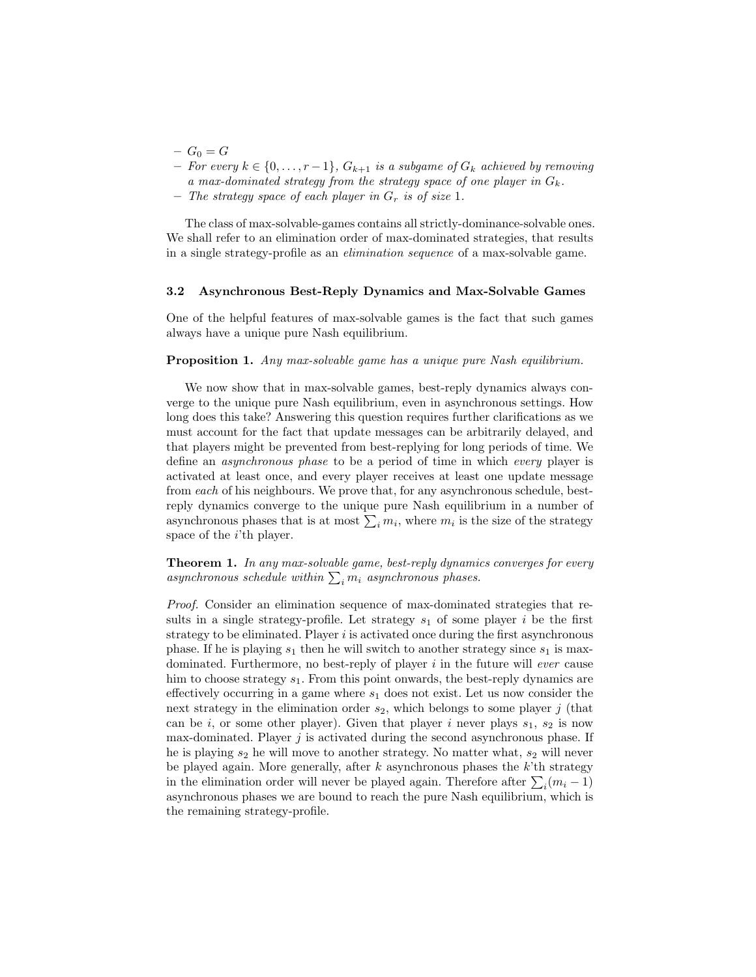- $G_0 = G$
- For every  $k \in \{0, ..., r-1\}$ ,  $G_{k+1}$  is a subgame of  $G_k$  achieved by removing a max-dominated strategy from the strategy space of one player in  $G_k$ .
- The strategy space of each player in  $G_r$  is of size 1.

The class of max-solvable-games contains all strictly-dominance-solvable ones. We shall refer to an elimination order of max-dominated strategies, that results in a single strategy-profile as an elimination sequence of a max-solvable game.

#### 3.2 Asynchronous Best-Reply Dynamics and Max-Solvable Games

One of the helpful features of max-solvable games is the fact that such games always have a unique pure Nash equilibrium.

#### Proposition 1. Any max-solvable game has a unique pure Nash equilibrium.

We now show that in max-solvable games, best-reply dynamics always converge to the unique pure Nash equilibrium, even in asynchronous settings. How long does this take? Answering this question requires further clarifications as we must account for the fact that update messages can be arbitrarily delayed, and that players might be prevented from best-replying for long periods of time. We define an *asynchronous phase* to be a period of time in which *every* player is activated at least once, and every player receives at least one update message from each of his neighbours. We prove that, for any asynchronous schedule, bestreply dynamics converge to the unique pure Nash equilibrium in a number of reply dynamics converge to the unique pure Nash equilibrium in a number of asynchronous phases that is at most  $\sum_i m_i$ , where  $m_i$  is the size of the strategy space of the *i*'th player.

Theorem 1. In any max-solvable game, best-reply dynamics converges for every **Theorem 1.** In any max-solvable game, best-repty agricultural asynchronous schedule within  $\sum_i m_i$  asynchronous phases.

Proof. Consider an elimination sequence of max-dominated strategies that results in a single strategy-profile. Let strategy  $s_1$  of some player i be the first strategy to be eliminated. Player  $i$  is activated once during the first asynchronous phase. If he is playing  $s_1$  then he will switch to another strategy since  $s_1$  is maxdominated. Furthermore, no best-reply of player  $i$  in the future will *ever* cause him to choose strategy  $s_1$ . From this point onwards, the best-reply dynamics are effectively occurring in a game where  $s_1$  does not exist. Let us now consider the next strategy in the elimination order  $s_2$ , which belongs to some player j (that can be i, or some other player). Given that player i never plays  $s_1$ ,  $s_2$  is now max-dominated. Player  $j$  is activated during the second asynchronous phase. If he is playing  $s_2$  he will move to another strategy. No matter what,  $s_2$  will never be played again. More generally, after  $k$  asynchronous phases the  $k$ 'th strategy be played again. More generally, after k asynchronous phases the k th strategy<br>in the elimination order will never be played again. Therefore after  $\sum_i (m_i - 1)$ asynchronous phases we are bound to reach the pure Nash equilibrium, which is the remaining strategy-profile.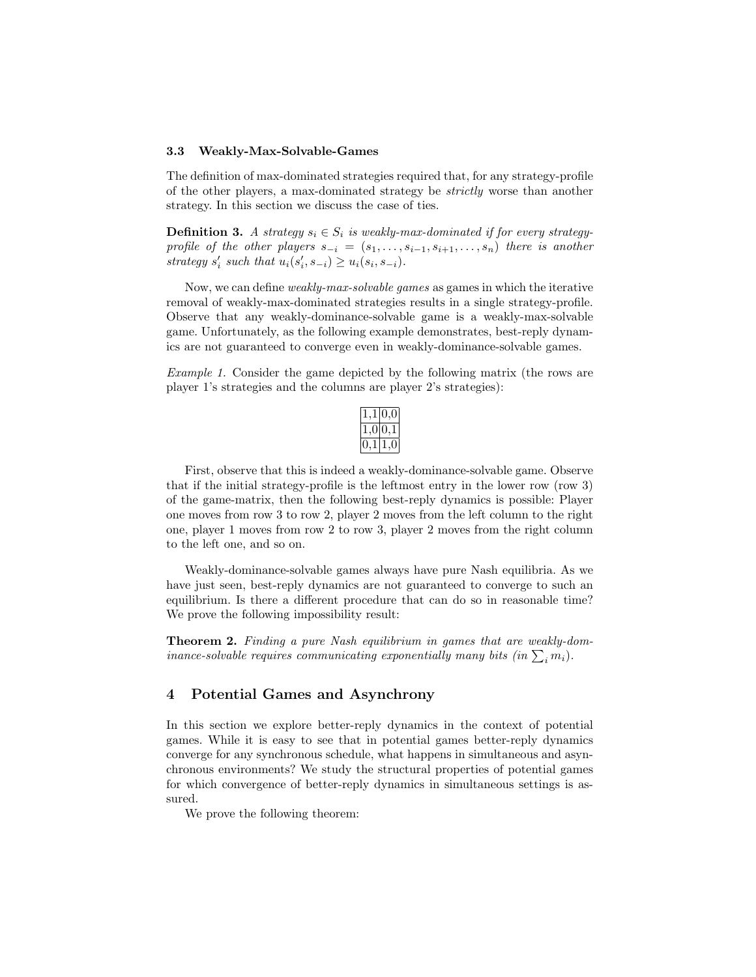#### 3.3 Weakly-Max-Solvable-Games

The definition of max-dominated strategies required that, for any strategy-profile of the other players, a max-dominated strategy be strictly worse than another strategy. In this section we discuss the case of ties.

**Definition 3.** A strategy  $s_i \in S_i$  is weakly-max-dominated if for every strategyprofile of the other players  $s_{-i} = (s_1, \ldots, s_{i-1}, s_{i+1}, \ldots, s_n)$  there is another strategy  $s'_i$  such that  $u_i(s'_i, s_{-i}) \ge u_i(s_i, s_{-i})$ .

Now, we can define weakly-max-solvable games as games in which the iterative removal of weakly-max-dominated strategies results in a single strategy-profile. Observe that any weakly-dominance-solvable game is a weakly-max-solvable game. Unfortunately, as the following example demonstrates, best-reply dynamics are not guaranteed to converge even in weakly-dominance-solvable games.

Example 1. Consider the game depicted by the following matrix (the rows are player 1's strategies and the columns are player 2's strategies):

| 1,1 0,0                |  |
|------------------------|--|
| 1,0 0,1                |  |
| $\overline{0,1}   1,0$ |  |

First, observe that this is indeed a weakly-dominance-solvable game. Observe that if the initial strategy-profile is the leftmost entry in the lower row (row 3) of the game-matrix, then the following best-reply dynamics is possible: Player one moves from row 3 to row 2, player 2 moves from the left column to the right one, player 1 moves from row 2 to row 3, player 2 moves from the right column to the left one, and so on.

Weakly-dominance-solvable games always have pure Nash equilibria. As we have just seen, best-reply dynamics are not guaranteed to converge to such an equilibrium. Is there a different procedure that can do so in reasonable time? We prove the following impossibility result:

Theorem 2. Finding a pure Nash equilibrium in games that are weakly-dom-**Theorem 2.** Finally a pure Nash equilibrium in games that are weakly-a inance-solvable requires communicating exponentially many bits  $(in \sum_i m_i)$ .

## 4 Potential Games and Asynchrony

In this section we explore better-reply dynamics in the context of potential games. While it is easy to see that in potential games better-reply dynamics converge for any synchronous schedule, what happens in simultaneous and asynchronous environments? We study the structural properties of potential games for which convergence of better-reply dynamics in simultaneous settings is assured.

We prove the following theorem: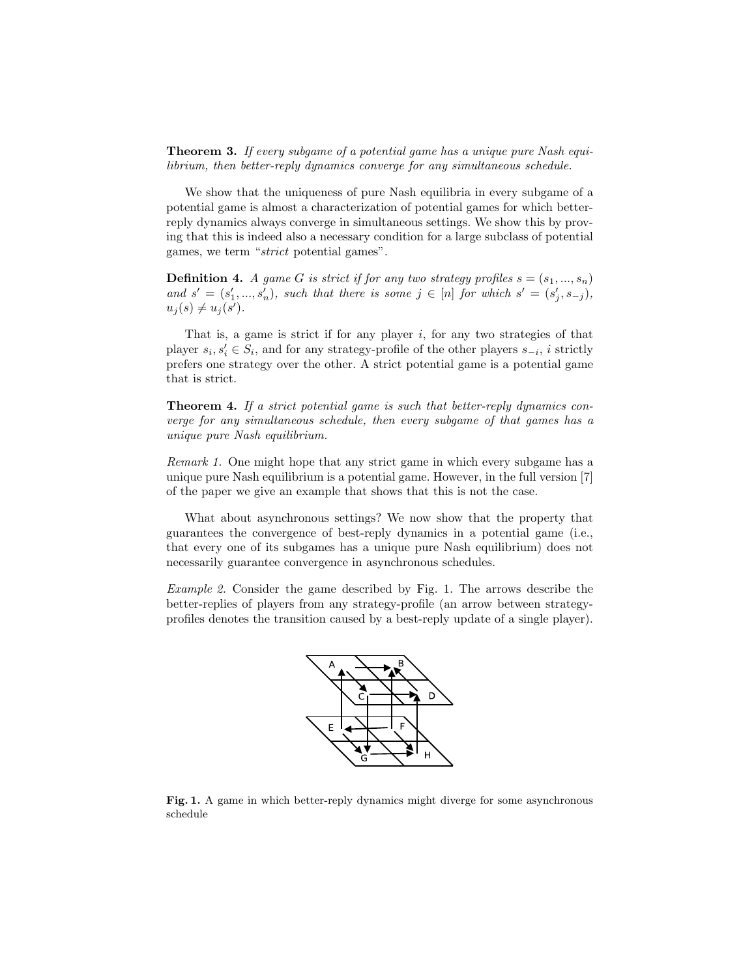Theorem 3. If every subgame of a potential game has a unique pure Nash equilibrium, then better-reply dynamics converge for any simultaneous schedule.

We show that the uniqueness of pure Nash equilibria in every subgame of a potential game is almost a characterization of potential games for which betterreply dynamics always converge in simultaneous settings. We show this by proving that this is indeed also a necessary condition for a large subclass of potential games, we term "strict potential games".

**Definition 4.** A game G is strict if for any two strategy profiles  $s = (s_1, ..., s_n)$ and  $s' = (s'_1, ..., s'_n)$ , such that there is some  $j \in [n]$  for which  $s' = (s'_j, s_{-j})$ ,  $u_j(s) \neq u_j(s')$ .

That is, a game is strict if for any player  $i$ , for any two strategies of that player  $s_i, s'_i \in S_i$ , and for any strategy-profile of the other players  $s_{-i}$ , i strictly prefers one strategy over the other. A strict potential game is a potential game that is strict.

Theorem 4. If a strict potential game is such that better-reply dynamics converge for any simultaneous schedule, then every subgame of that games has a unique pure Nash equilibrium.

Remark 1. One might hope that any strict game in which every subgame has a unique pure Nash equilibrium is a potential game. However, in the full version [7] of the paper we give an example that shows that this is not the case.

What about asynchronous settings? We now show that the property that guarantees the convergence of best-reply dynamics in a potential game (i.e., that every one of its subgames has a unique pure Nash equilibrium) does not necessarily guarantee convergence in asynchronous schedules.

Example 2. Consider the game described by Fig. 1. The arrows describe the better-replies of players from any strategy-profile (an arrow between strategyprofiles denotes the transition caused by a best-reply update of a single player).



Fig. 1. A game in which better-reply dynamics might diverge for some asynchronous schedule